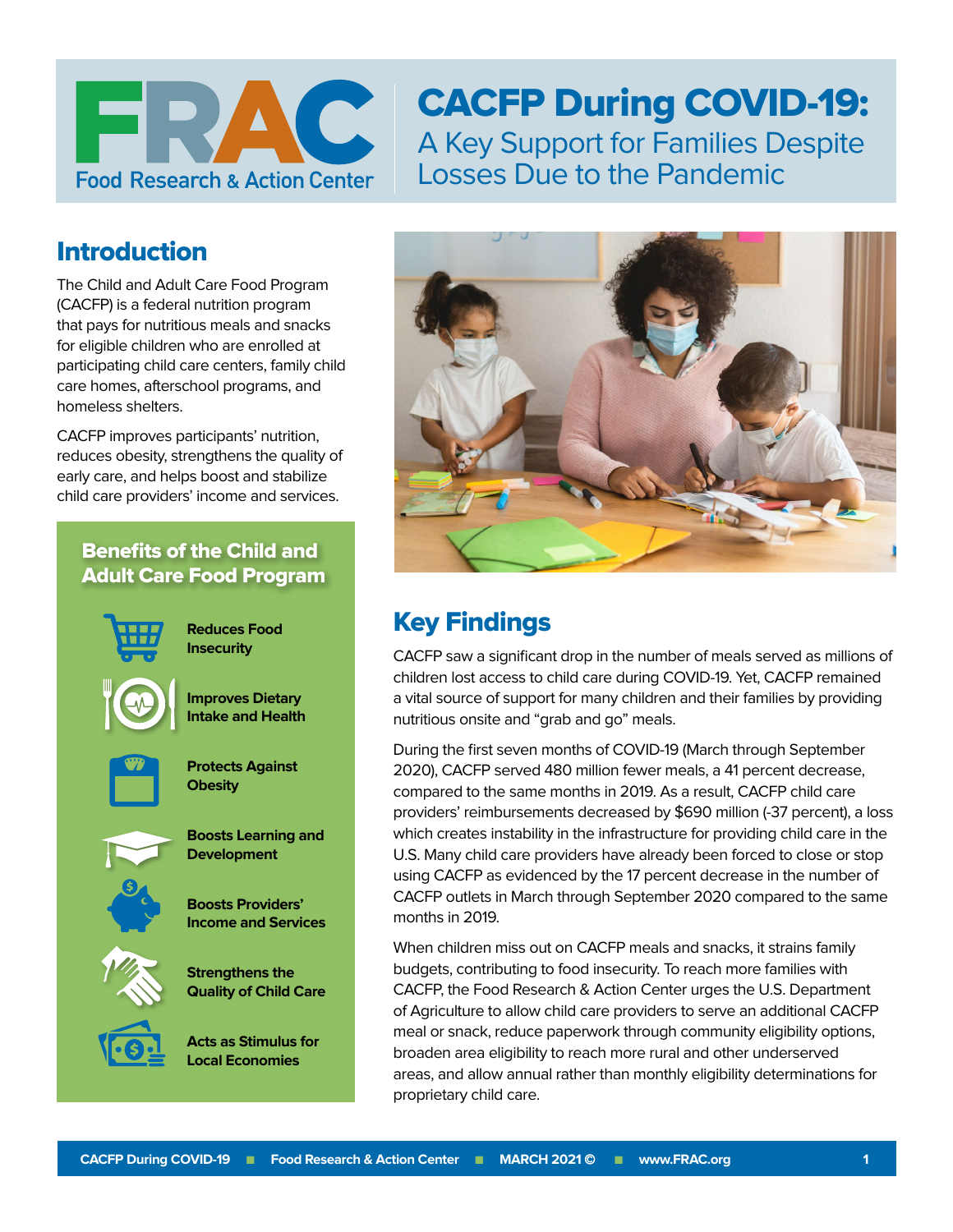

# CACFP During COVID-19: A Key Support for Families Despite Losses Due to the Pandemic

## Introduction

The Child and Adult Care Food Program (CACFP) is a federal nutrition program that pays for nutritious meals and snacks for eligible children who are enrolled at participating child care centers, family child care homes, afterschool programs, and homeless shelters.

CACFP improves participants' nutrition, reduces obesity, strengthens the quality of early care, and helps boost and stabilize child care providers' income and services.

## Benefits of the Child and Adult Care Food Program



**Reduces Food Insecurity**

**Improves Dietary Intake and Health**



**Protects Against Obesity**



**Boosts Providers' Income and Services**

**Strengthens the Quality of Child Care**

**Acts as Stimulus for Local Economies**



## Key Findings

CACFP saw a significant drop in the number of meals served as millions of children lost access to child care during COVID-19. Yet, CACFP remained a vital source of support for many children and their families by providing nutritious onsite and "grab and go" meals.

During the first seven months of COVID-19 (March through September 2020), CACFP served 480 million fewer meals, a 41 percent decrease, compared to the same months in 2019. As a result, CACFP child care providers' reimbursements decreased by \$690 million (-37 percent), a loss which creates instability in the infrastructure for providing child care in the U.S. Many child care providers have already been forced to close or stop using CACFP as evidenced by the 17 percent decrease in the number of CACFP outlets in March through September 2020 compared to the same months in 2019.

When children miss out on CACFP meals and snacks, it strains family budgets, contributing to food insecurity. To reach more families with CACFP, the Food Research & Action Center urges the U.S. Department of Agriculture to allow child care providers to serve an additional CACFP meal or snack, reduce paperwork through community eligibility options, broaden area eligibility to reach more rural and other underserved areas, and allow annual rather than monthly eligibility determinations for proprietary child care.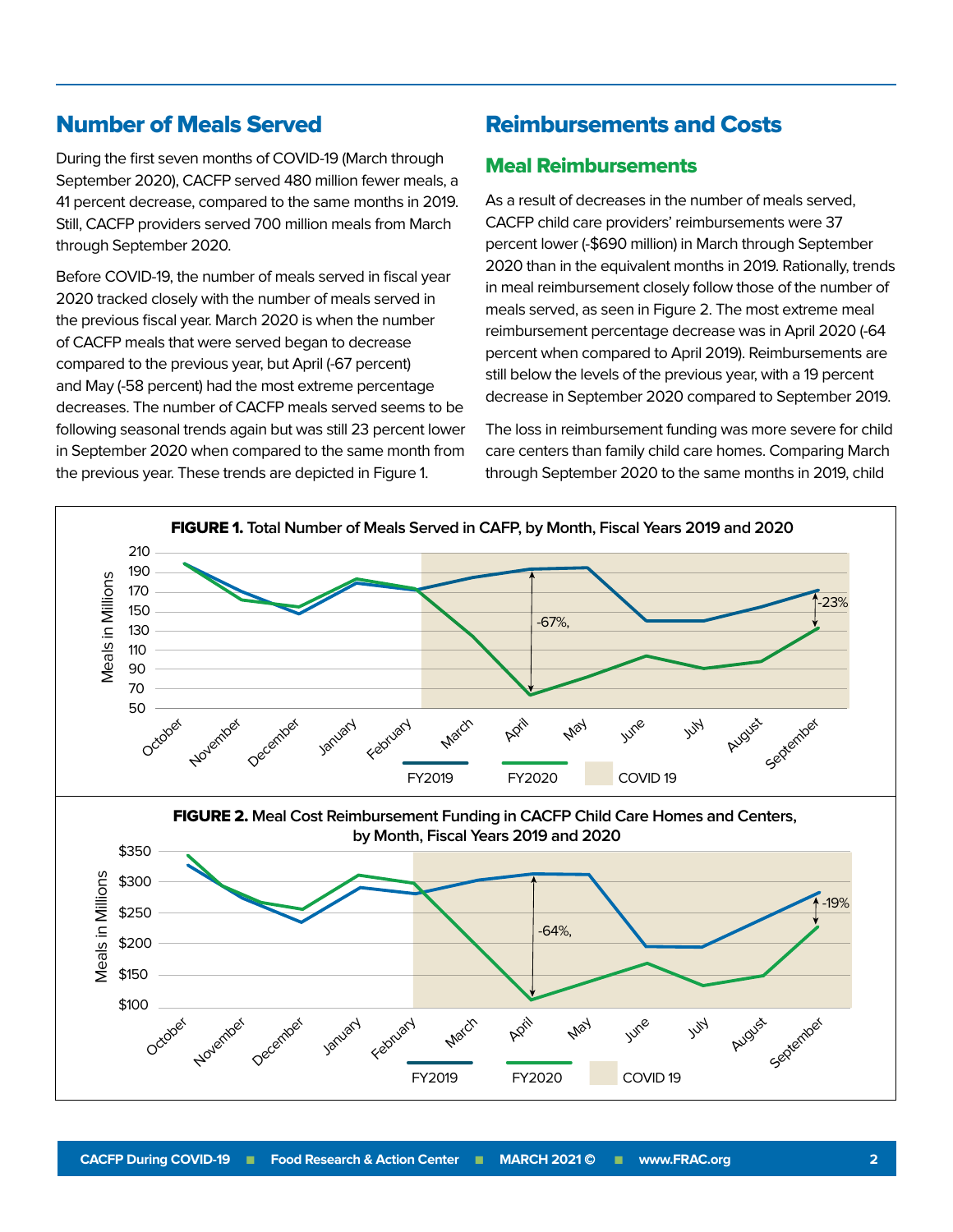### Number of Meals Served

During the first seven months of COVID-19 (March through September 2020), CACFP served 480 million fewer meals, a 41 percent decrease, compared to the same months in 2019. Still, CACFP providers served 700 million meals from March through September 2020.

Before COVID-19, the number of meals served in fiscal year 2020 tracked closely with the number of meals served in the previous fiscal year. March 2020 is when the number of CACFP meals that were served began to decrease compared to the previous year, but April (-67 percent) and May (-58 percent) had the most extreme percentage decreases. The number of CACFP meals served seems to be following seasonal trends again but was still 23 percent lower in September 2020 when compared to the same month from the previous year. These trends are depicted in Figure 1.

### Reimbursements and Costs

#### Meal Reimbursements

As a result of decreases in the number of meals served, CACFP child care providers' reimbursements were 37 percent lower (-\$690 million) in March through September 2020 than in the equivalent months in 2019. Rationally, trends in meal reimbursement closely follow those of the number of meals served, as seen in Figure 2. The most extreme meal reimbursement percentage decrease was in April 2020 (-64 percent when compared to April 2019). Reimbursements are still below the levels of the previous year, with a 19 percent decrease in September 2020 compared to September 2019.

The loss in reimbursement funding was more severe for child care centers than family child care homes. Comparing March through September 2020 to the same months in 2019, child

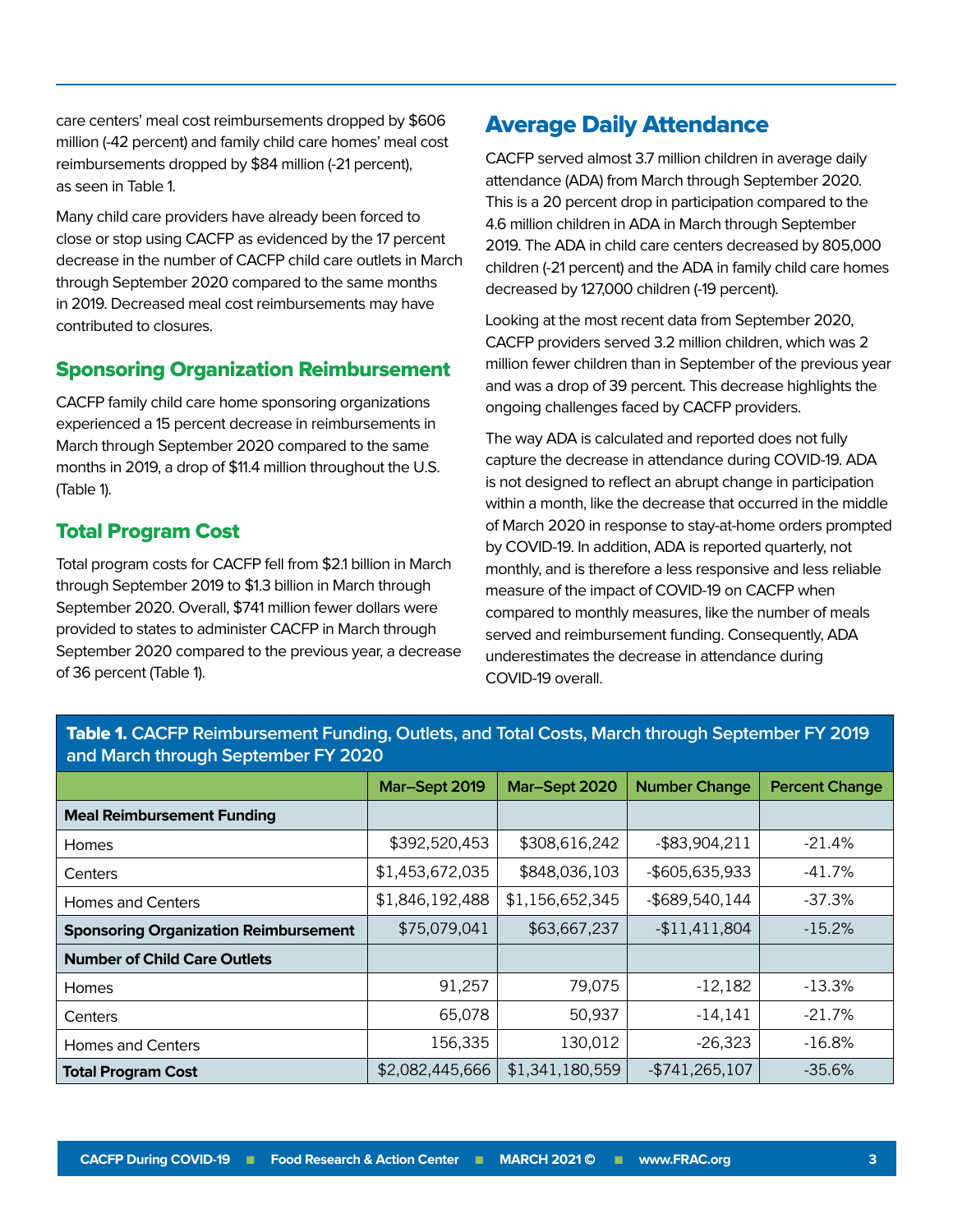care centers' meal cost reimbursements dropped by \$606 million (-42 percent) and family child care homes' meal cost reimbursements dropped by \$84 million (-21 percent), as seen in Table 1.

Many child care providers have already been forced to close or stop using CACFP as evidenced by the 17 percent decrease in the number of CACFP child care outlets in March through September 2020 compared to the same months in 2019. Decreased meal cost reimbursements may have contributed to closures.

#### Sponsoring Organization Reimbursement

CACFP family child care home sponsoring organizations experienced a 15 percent decrease in reimbursements in March through September 2020 compared to the same months in 2019, a drop of \$11.4 million throughout the U.S. (Table 1).

#### Total Program Cost

Total program costs for CACFP fell from \$2.1 billion in March through September 2019 to \$1.3 billion in March through September 2020. Overall, \$741 million fewer dollars were provided to states to administer CACFP in March through September 2020 compared to the previous year, a decrease of 36 percent (Table 1).

## Average Daily Attendance

CACFP served almost 3.7 million children in average daily attendance (ADA) from March through September 2020. This is a 20 percent drop in participation compared to the 4.6 million children in ADA in March through September 2019. The ADA in child care centers decreased by 805,000 children (-21 percent) and the ADA in family child care homes decreased by 127,000 children (-19 percent).

Looking at the most recent data from September 2020, CACFP providers served 3.2 million children, which was 2 million fewer children than in September of the previous year and was a drop of 39 percent. This decrease highlights the ongoing challenges faced by CACFP providers.

The way ADA is calculated and reported does not fully capture the decrease in attendance during COVID-19. ADA is not designed to reflect an abrupt change in participation within a month, like the decrease that occurred in the middle of March 2020 in response to stay-at-home orders prompted by COVID-19. In addition, ADA is reported quarterly, not monthly, and is therefore a less responsive and less reliable measure of the impact of COVID-19 on CACFP when compared to monthly measures, like the number of meals served and reimbursement funding. Consequently, ADA underestimates the decrease in attendance during COVID-19 overall.

| and March through September FY 2020          |                 |                 |                      |                       |
|----------------------------------------------|-----------------|-----------------|----------------------|-----------------------|
|                                              | Mar-Sept 2019   | Mar-Sept 2020   | <b>Number Change</b> | <b>Percent Change</b> |
| <b>Meal Reimbursement Funding</b>            |                 |                 |                      |                       |
| <b>Homes</b>                                 | \$392,520,453   | \$308,616,242   | $-$ \$83,904,211     | $-21.4%$              |
| Centers                                      | \$1,453,672,035 | \$848,036,103   | -\$605,635,933       | $-41.7%$              |
| Homes and Centers                            | \$1,846,192,488 | \$1,156,652,345 | -\$689,540,144       | $-37.3%$              |
| <b>Sponsoring Organization Reimbursement</b> | \$75,079,041    | \$63,667,237    | $-$11,411,804$       | $-15.2%$              |
| <b>Number of Child Care Outlets</b>          |                 |                 |                      |                       |
| <b>Homes</b>                                 | 91,257          | 79,075          | $-12,182$            | $-13.3%$              |
| Centers                                      | 65,078          | 50,937          | $-14,141$            | $-21.7%$              |
| <b>Homes and Centers</b>                     | 156,335         | 130,012         | $-26,323$            | $-16.8%$              |
| <b>Total Program Cost</b>                    | \$2,082,445,666 | \$1,341,180,559 | $-$ \$741,265,107    | $-35.6%$              |

Table 1. **CACFP Reimbursement Funding, Outlets, and Total Costs, March through September FY 2019 and March through September FY 2020**